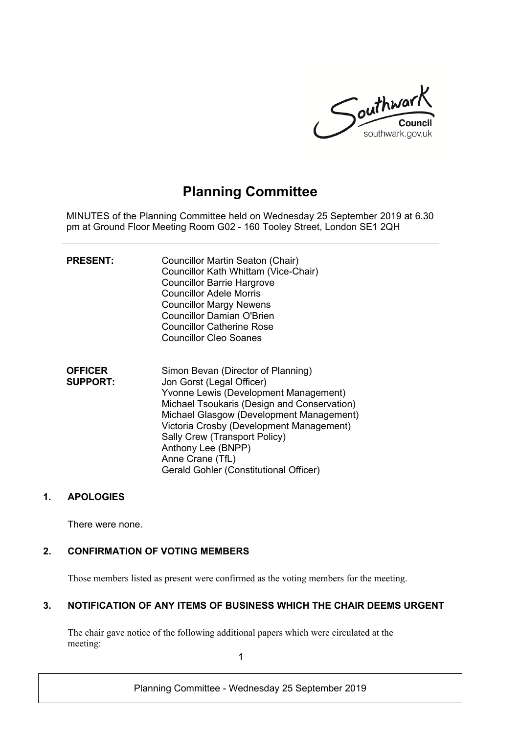

# **Planning Committee**

MINUTES of the Planning Committee held on Wednesday 25 September 2019 at 6.30 pm at Ground Floor Meeting Room G02 - 160 Tooley Street, London SE1 2QH

| <b>PRESENT:</b>                   | Councillor Martin Seaton (Chair)<br>Councillor Kath Whittam (Vice-Chair)<br><b>Councillor Barrie Hargrove</b><br><b>Councillor Adele Morris</b><br><b>Councillor Margy Newens</b><br><b>Councillor Damian O'Brien</b><br><b>Councillor Catherine Rose</b><br><b>Councillor Cleo Soanes</b>                                                                           |
|-----------------------------------|----------------------------------------------------------------------------------------------------------------------------------------------------------------------------------------------------------------------------------------------------------------------------------------------------------------------------------------------------------------------|
| <b>OFFICER</b><br><b>SUPPORT:</b> | Simon Bevan (Director of Planning)<br>Jon Gorst (Legal Officer)<br>Yvonne Lewis (Development Management)<br>Michael Tsoukaris (Design and Conservation)<br>Michael Glasgow (Development Management)<br>Victoria Crosby (Development Management)<br>Sally Crew (Transport Policy)<br>Anthony Lee (BNPP)<br>Anne Crane (TfL)<br>Gerald Gohler (Constitutional Officer) |

### **1. APOLOGIES**

There were none.

## **2. CONFIRMATION OF VOTING MEMBERS**

Those members listed as present were confirmed as the voting members for the meeting.

## **3. NOTIFICATION OF ANY ITEMS OF BUSINESS WHICH THE CHAIR DEEMS URGENT**

The chair gave notice of the following additional papers which were circulated at the meeting:

1

Planning Committee - Wednesday 25 September 2019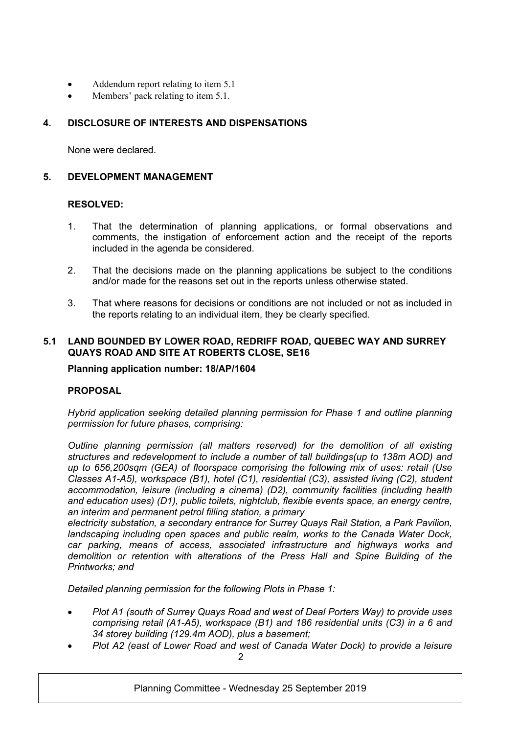- Addendum report relating to item 5.1
- Members' pack relating to item 5.1.

## **4. DISCLOSURE OF INTERESTS AND DISPENSATIONS**

None were declared.

## **5. DEVELOPMENT MANAGEMENT**

## **RESOLVED:**

- 1. That the determination of planning applications, or formal observations and comments, the instigation of enforcement action and the receipt of the reports included in the agenda be considered.
- 2. That the decisions made on the planning applications be subject to the conditions and/or made for the reasons set out in the reports unless otherwise stated.
- 3. That where reasons for decisions or conditions are not included or not as included in the reports relating to an individual item, they be clearly specified.

## **5.1 LAND BOUNDED BY LOWER ROAD, REDRIFF ROAD, QUEBEC WAY AND SURREY QUAYS ROAD AND SITE AT ROBERTS CLOSE, SE16**

**Planning application number: 18/AP/1604** 

### **PROPOSAL**

*Hybrid application seeking detailed planning permission for Phase 1 and outline planning permission for future phases, comprising:*

*Outline planning permission (all matters reserved) for the demolition of all existing structures and redevelopment to include a number of tall buildings(up to 138m AOD) and up to 656,200sqm (GEA) of floorspace comprising the following mix of uses: retail (Use Classes A1-A5), workspace (B1), hotel (C1), residential (C3), assisted living (C2), student accommodation, leisure (including a cinema) (D2), community facilities (including health and education uses) (D1), public toilets, nightclub, flexible events space, an energy centre, an interim and permanent petrol filling station, a primary*

*electricity substation, a secondary entrance for Surrey Quays Rail Station, a Park Pavilion, landscaping including open spaces and public realm, works to the Canada Water Dock, car parking, means of access, associated infrastructure and highways works and demolition or retention with alterations of the Press Hall and Spine Building of the Printworks; and*

*Detailed planning permission for the following Plots in Phase 1:*

- *Plot A1 (south of Surrey Quays Road and west of Deal Porters Way) to provide uses comprising retail (A1-A5), workspace (B1) and 186 residential units (C3) in a 6 and 34 storey building (129.4m AOD), plus a basement;*
- $\mathcal{D}$ *Plot A2 (east of Lower Road and west of Canada Water Dock) to provide a leisure*